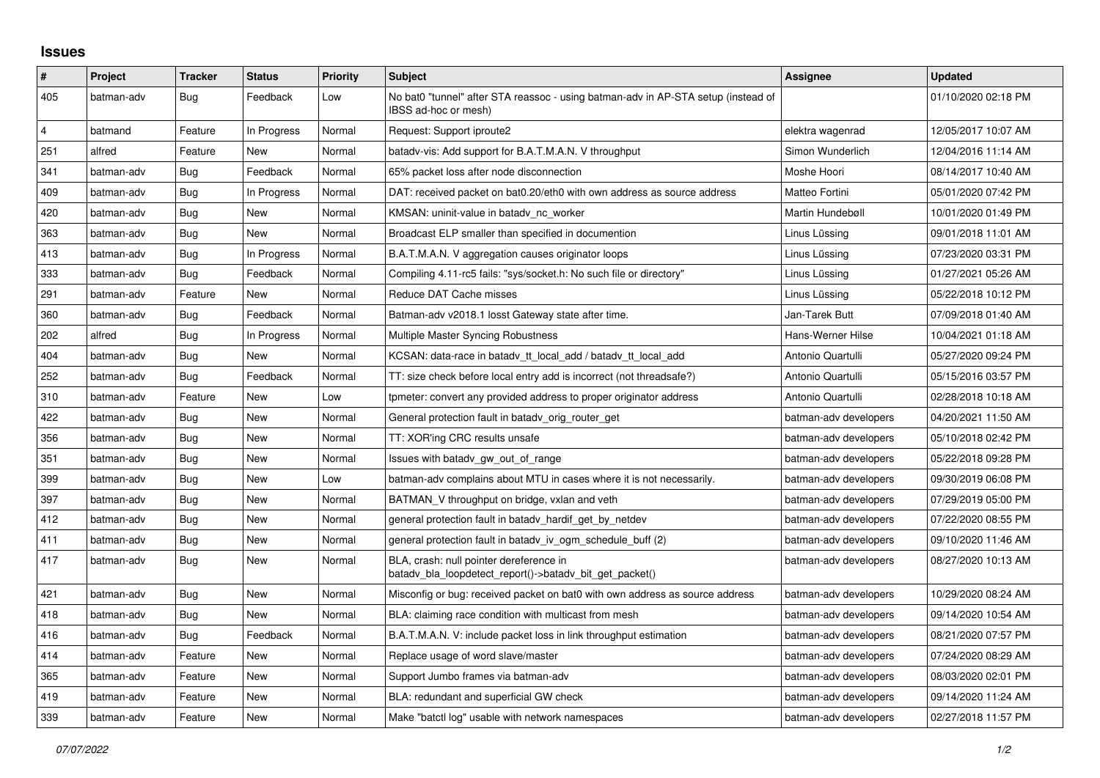## **Issues**

| $\vert$ #      | Project    | <b>Tracker</b> | <b>Status</b> | <b>Priority</b> | <b>Subject</b>                                                                                            | <b>Assignee</b>       | <b>Updated</b>      |
|----------------|------------|----------------|---------------|-----------------|-----------------------------------------------------------------------------------------------------------|-----------------------|---------------------|
| 405            | batman-adv | Bug            | Feedback      | Low             | No bat0 "tunnel" after STA reassoc - using batman-adv in AP-STA setup (instead of<br>IBSS ad-hoc or mesh) |                       | 01/10/2020 02:18 PM |
| $\overline{4}$ | batmand    | Feature        | In Progress   | Normal          | Request: Support iproute2                                                                                 | elektra wagenrad      | 12/05/2017 10:07 AM |
| 251            | alfred     | Feature        | New           | Normal          | batady-vis: Add support for B.A.T.M.A.N. V throughput                                                     | Simon Wunderlich      | 12/04/2016 11:14 AM |
| 341            | batman-adv | Bug            | Feedback      | Normal          | 65% packet loss after node disconnection                                                                  | Moshe Hoori           | 08/14/2017 10:40 AM |
| 409            | batman-adv | Bug            | In Progress   | Normal          | DAT: received packet on bat0.20/eth0 with own address as source address                                   | Matteo Fortini        | 05/01/2020 07:42 PM |
| 420            | batman-adv | <b>Bug</b>     | New           | Normal          | KMSAN: uninit-value in batady nc worker                                                                   | Martin Hundebøll      | 10/01/2020 01:49 PM |
| 363            | batman-adv | Bug            | New           | Normal          | Broadcast ELP smaller than specified in documention                                                       | Linus Lüssing         | 09/01/2018 11:01 AM |
| 413            | batman-adv | Bug            | In Progress   | Normal          | B.A.T.M.A.N. V aggregation causes originator loops                                                        | Linus Lüssing         | 07/23/2020 03:31 PM |
| 333            | batman-adv | Bug            | Feedback      | Normal          | Compiling 4.11-rc5 fails: "sys/socket.h: No such file or directory"                                       | Linus Lüssing         | 01/27/2021 05:26 AM |
| 291            | batman-adv | Feature        | New           | Normal          | Reduce DAT Cache misses                                                                                   | Linus Lüssing         | 05/22/2018 10:12 PM |
| 360            | batman-adv | Bug            | Feedback      | Normal          | Batman-adv v2018.1 losst Gateway state after time.                                                        | Jan-Tarek Butt        | 07/09/2018 01:40 AM |
| 202            | alfred     | Bug            | In Progress   | Normal          | Multiple Master Syncing Robustness                                                                        | Hans-Werner Hilse     | 10/04/2021 01:18 AM |
| 404            | batman-adv | Bug            | New           | Normal          | KCSAN: data-race in batady tt local add / batady tt local add                                             | Antonio Quartulli     | 05/27/2020 09:24 PM |
| 252            | batman-adv | Bug            | Feedback      | Normal          | TT: size check before local entry add is incorrect (not threadsafe?)                                      | Antonio Quartulli     | 05/15/2016 03:57 PM |
| 310            | batman-adv | Feature        | New           | Low             | tpmeter: convert any provided address to proper originator address                                        | Antonio Quartulli     | 02/28/2018 10:18 AM |
| 422            | batman-adv | Bug            | New           | Normal          | General protection fault in batady orig router get                                                        | batman-adv developers | 04/20/2021 11:50 AM |
| 356            | batman-adv | Bug            | New           | Normal          | TT: XOR'ing CRC results unsafe                                                                            | batman-adv developers | 05/10/2018 02:42 PM |
| 351            | batman-adv | <b>Bug</b>     | New           | Normal          | Issues with batady gw out of range                                                                        | batman-adv developers | 05/22/2018 09:28 PM |
| 399            | batman-adv | Bug            | <b>New</b>    | Low             | batman-adv complains about MTU in cases where it is not necessarily.                                      | batman-adv developers | 09/30/2019 06:08 PM |
| 397            | batman-adv | Bug            | New           | Normal          | BATMAN V throughput on bridge, vxlan and veth                                                             | batman-adv developers | 07/29/2019 05:00 PM |
| 412            | batman-adv | Bug            | New           | Normal          | general protection fault in batady hardif get by netdev                                                   | batman-adv developers | 07/22/2020 08:55 PM |
| 411            | batman-adv | Bug            | <b>New</b>    | Normal          | general protection fault in batady_iv_ogm_schedule_buff (2)                                               | batman-adv developers | 09/10/2020 11:46 AM |
| 417            | batman-adv | Bug            | <b>New</b>    | Normal          | BLA, crash: null pointer dereference in<br>batady bla loopdetect report()->batady bit get packet()        | batman-adv developers | 08/27/2020 10:13 AM |
| 421            | batman-adv | Bug            | New           | Normal          | Misconfig or bug: received packet on bat0 with own address as source address                              | batman-adv developers | 10/29/2020 08:24 AM |
| 418            | batman-adv | Bug            | New           | Normal          | BLA: claiming race condition with multicast from mesh                                                     | batman-adv developers | 09/14/2020 10:54 AM |
| 416            | batman-adv | Bug            | Feedback      | Normal          | B.A.T.M.A.N. V: include packet loss in link throughput estimation                                         | batman-adv developers | 08/21/2020 07:57 PM |
| 414            | batman-adv | Feature        | New           | Normal          | Replace usage of word slave/master                                                                        | batman-adv developers | 07/24/2020 08:29 AM |
| 365            | batman-adv | Feature        | New           | Normal          | Support Jumbo frames via batman-adv                                                                       | batman-adv developers | 08/03/2020 02:01 PM |
| 419            | batman-adv | Feature        | New           | Normal          | BLA: redundant and superficial GW check                                                                   | batman-adv developers | 09/14/2020 11:24 AM |
| 339            | batman-adv | Feature        | New           | Normal          | Make "batctl log" usable with network namespaces                                                          | batman-adv developers | 02/27/2018 11:57 PM |